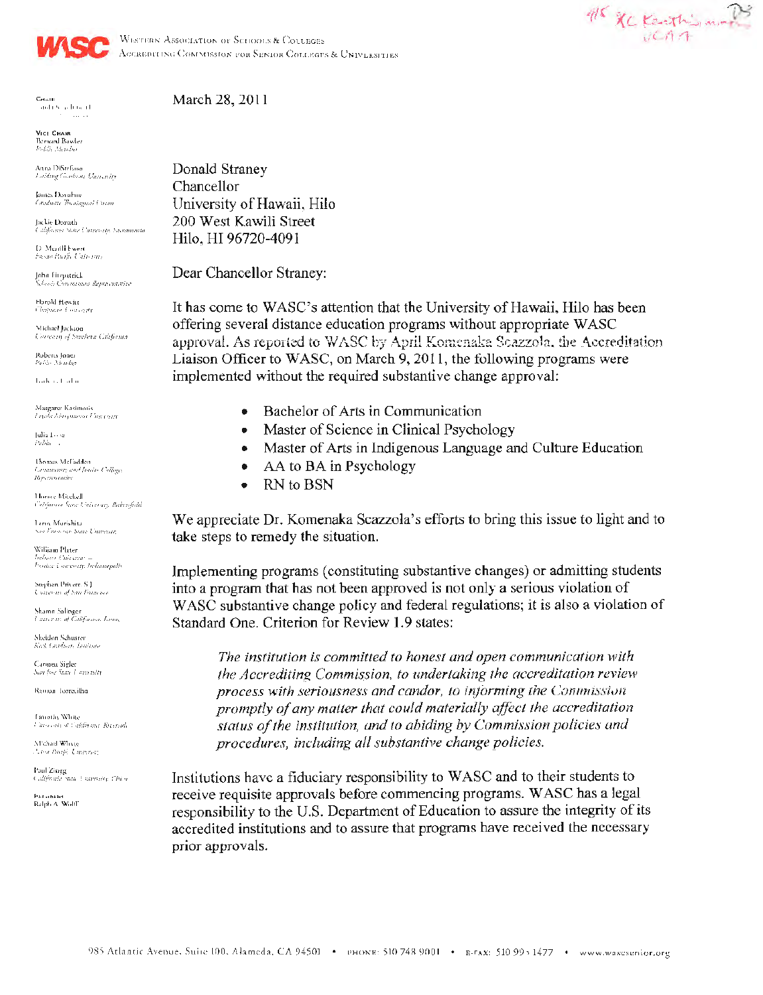



WESTERN ASSOCIATION OF SCHOOLS & COLLEGES ACCREDITING COMMISSION FOR SENIOR COLLEGES & UNIVERSITIES

aida Septimant.

VICE CHAIR Bernard Bowler<br>Fields Member

Anna DiStefauer centar consegund<br>Enidang Guaduate University

James Donahme pansa secundum.<br>Coraduate Theologyeal Coran

Jackie Donath California State Currente Sacramosta

D. Martill Ewert<br>Freshe Parific University

John Fitzpatrick y<br>Schooli Chumanni Reweisinniise

Harold Hewitt Chapman Courseau

Michael Jackson Consecuti of Southern California

Roberts Jones<br>Paldo Mender

double of adapt

Margaret Kasimatis<br>Tayoh Marquianat University

 $|$ ulia $1 \leftrightarrow \infty$  $Pabla$ 

Thomas McFadden Community and Junior Colleges<br>Representative

Horace Mitchell Caldarous Spire University, Bakersfield

Leno Morisbita .<br>Nov From oco Sung University

William Plater Chicear Paralac Courgoity, Indianapolis

Stephen Privert, S.J. Converting San Foundatio

Sharnn Salinger Courseau of California, Louis

Sheidan Schuster Keck Graduate Institute

Caronen Sigler San Jose State Lotterwith

Ramon Torrecilha

Limothy White University at California, Received.

Michael Winte A tou Daifo University

Paul Zingg California sum Lauvority, Chico-

.<br>Ralph A. Width

Donald Stranev Chancellor University of Hawaii, Hilo 200 West Kawili Street Hilo, HI 96720-4091

Dear Chancellor Straney:

It has come to WASC's attention that the University of Hawaii, Hilo has been offering several distance education programs without appropriate WASC approval. As reported to WASC by April Komenaka Scazzola, the Accreditation Liaison Officer to WASC, on March 9, 2011, the following programs were implemented without the required substantive change approval:

- Bachelor of Arts in Communication
- Master of Science in Clinical Psychology  $\bullet$
- Master of Arts in Indigenous Language and Culture Education  $\bullet$
- AA to BA in Psychology  $\bullet$
- RN to BSN  $\bullet$

We appreciate Dr. Komenaka Scazzola's efforts to bring this issue to light and to take steps to remedy the situation.

Implementing programs (constituting substantive changes) or admitting students into a program that has not been approved is not only a serious violation of WASC substantive change policy and federal regulations; it is also a violation of Standard One. Criterion for Review 1.9 states:

The institution is committed to honest and open communication with the Accrediting Commission, to undertaking the accreditation review process with seriousness and candor, to informing the Commission promptly of any matter that could materially affect the accreditation status of the institution, and to abiding by Commission policies and procedures, including all substantive change policies.

Institutions have a fiduciary responsibility to WASC and to their students to receive requisite approvals before commencing programs. WASC has a legal responsibility to the U.S. Department of Education to assure the integrity of its accredited institutions and to assure that programs have received the necessary prior approvals.

March 28, 2011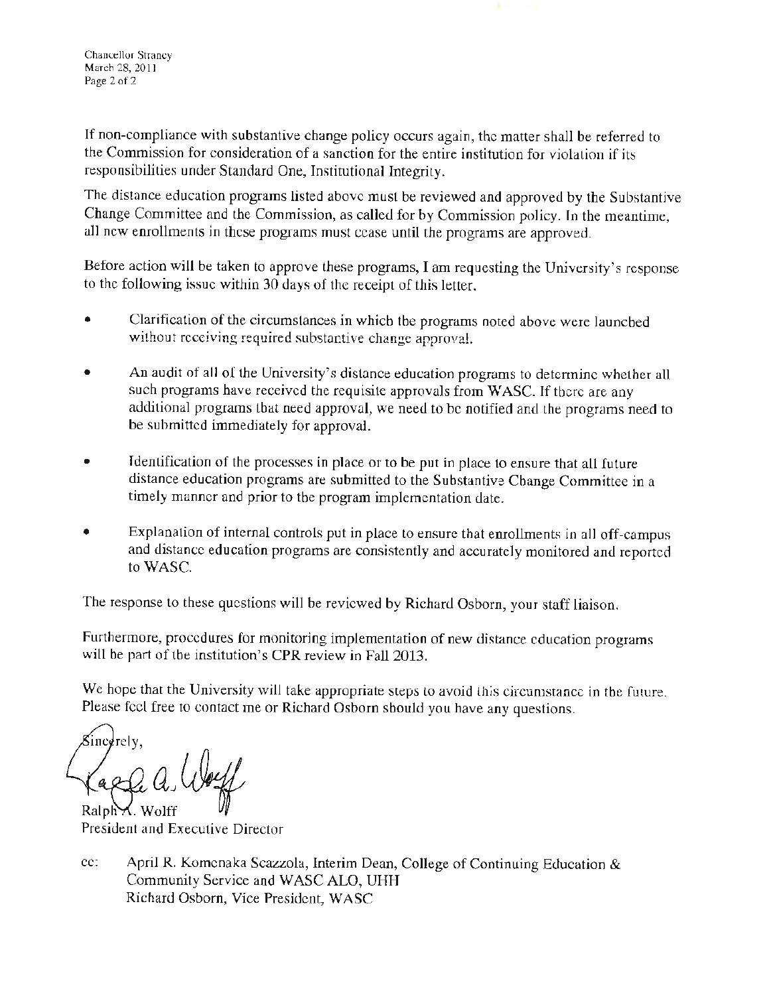Chancellor Straney March 28, 2011 Page 2 of 2

If non-compliance with substantive change policy occurs again, the matter shall be referred to the Commission for consideration of a sanction for the entire institution for violation if its responsibilities under Standard One, Institutional Integrity.

The distance education programs listed above must be reviewed and approved by the Substantive Change Committee and the Commission, as called for by Commission policy. In the meantime, all new enrollments in these programs must cease until the programs are approved.

Before action will be taken to approve these programs, I am requesting the University's response to the following issue within 30 days of the receipt of this letter.

- Clarification of the circumstances in which the programs noted above were launched without receiving required substantive change approval.
- An audit of all of the University's distance education programs to determine whether all such programs have received the requisite approvals from WASC. If there are any additional programs that need approval, we need to be notified and the programs need to be submitted immediately for approval.
- Identification of the processes in place or to be put in place to ensure that all future distance education programs are submitted to the Substantive Change Committee in a timely manner and prior to the program implementation date.
- Explanation of internal controls put in place to ensure that enrollments in all off-campus and distance education programs are consistently and accurately monitored and reported to **WASC.**

The response to these questions will be reviewed by Richard Osborn, your staff liaison.

Furthermore, procedures for monitoring implementation of new distance education programs will be part of the institution's CPR review in Fall 2013.

We hope that the University will take appropriate steps to avoid this circumstance in the future. Please feel free to contact me or Richard Osborn should you have any questions.

**¼rely,** *as*  Kaele a Well<br>Ralph A. Wolff<br>President and Executive Director

Ralph**M**. Wolff

cc: April R. Komenaka Scazzola, Interim Dean, College of Continuing Education & Community Service and WASC ALO, UHH Richard Osborn, Vice President, WASC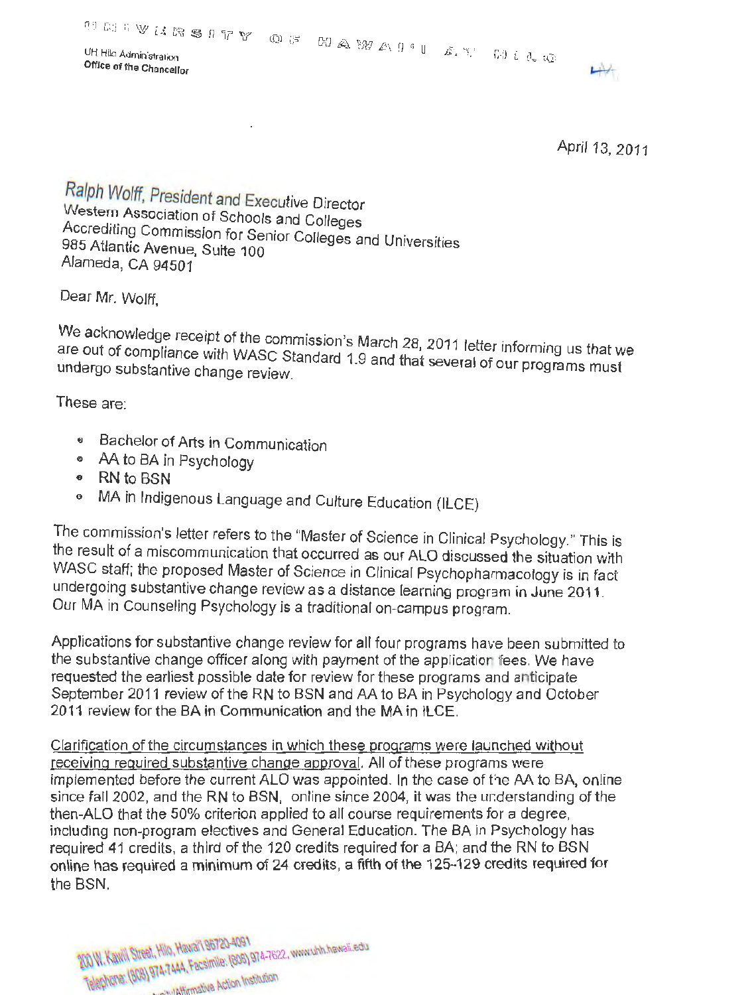**Office of the Chancellor** 



April 13, 2011

Ralph Wolff, President and Executive Director Western Association of Schools and Colleges Accrediting Commission for Senior Colleges and Universities 985 Atlantic Avenue, Suite 100 Alameda, CA 94501

Dear Mr. Wolff '

We acknowledge receipt of the commission's March 28, 2011 letter informing us that we are out of compliance with WASC Standard 1.9 and that potter informing us that we undergo substantive change review.

These are:

- e Bachelor of Arts in Communication
- e AA to BA in Psychology
- <sup>e</sup>RN to BSN
- 0 MA in Indigenous Language and Culture Education (ILCE)

The commission's letter refers to the "Master of Science in Clinical Psychology." This is the result of a miscommunication that occurred as our ALO discussed the situation with WASC staff; the proposed Master of Science in Clinical Psychopharmacology is in fact undergoing substantive change review as a distance learning program in June 2011. Our MA in Counseling Psychology is a traditional on-campus program.

Applications for substantive change review for all four programs have been submitted to the substantive change officer along with payment of the applicatior fees. We have requested the earliest possible date for review for these programs and anticipate September 2011 review of the RN to BSN and AA to BA in Psychology and October 2011 review for the BA in Communication and the MA in ILCE.

Clarification of the circumstances in which these programs were launched without receiving required substantive change approval. All of these programs were implemented before the current ALO was appointed. In the case of the AA to BA, online since fall 2002, and the RN to BSN, online since 2004, it was the understanding of the then-ALO that the 50% criterion applied to all course requirements for a degree, including non-program electives and General Education. The BA in Psychology has required 41 credits, a third of the 120 credits required for a BA; and the RN to BSN online has required a minimum of 24 credits, a fifth of the 125-129 credits required for the BSN.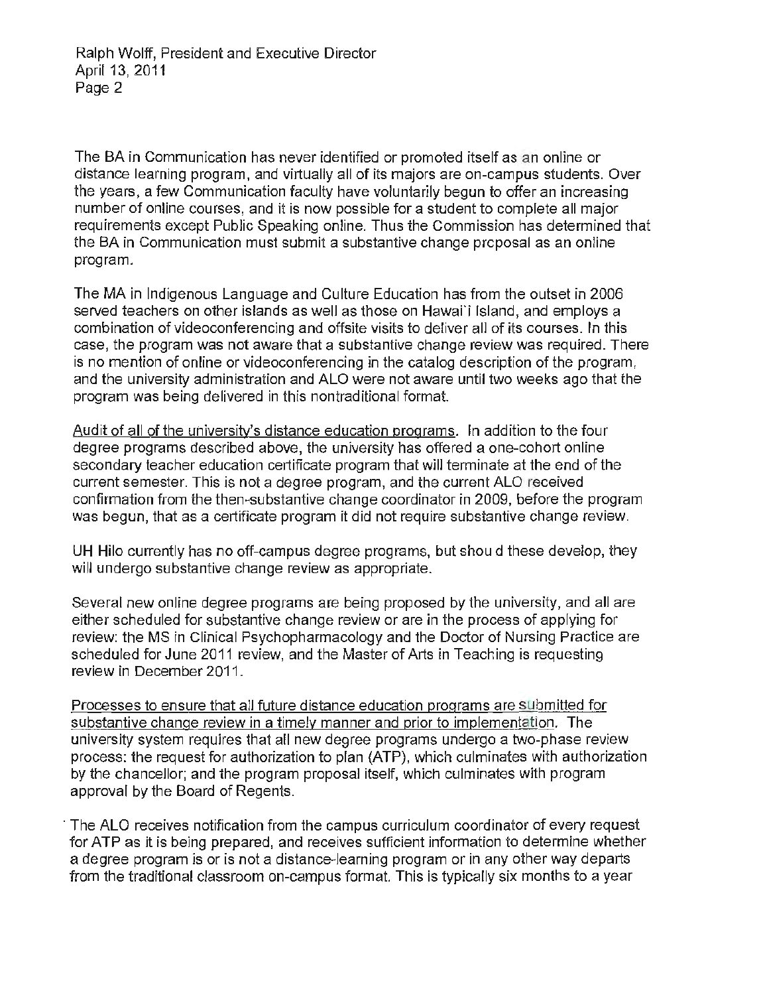The BA in Communication has never identified or promoted itself as an online or distance learning program, and virtually all of its majors are on-campus students. Over the years, a few Communication faculty have voluntarily begun to offer an increasing number of online courses, and it is now possible for a student to complete all major requirements except Public Speaking online. Thus the Commission has determined that the BA in Communication must submit a substantive change proposal as an online program.

The MA in Indigenous Language and Culture Education has from the outset in 2006 served teachers on other islands as well as those on Hawai'i Island, and employs a combination of videoconferencing and offsite visits to deliver all of its courses. In this case, the program was not aware that a substantive change review was required. There is no mention of online or videoconferencing in the catalog description of the program, and the university administration and ALO were not aware until two weeks ago that the program was being delivered in this nontraditional format.

Audit of all of the university's distance education programs. In addition to the four degree programs described above, the university has offered a one-cohort online secondary teacher education certificate program that will terminate at the end of the current semester. This is not a degree program, and the current ALO received confirmation from the then-substantive change coordinator in 2009, before the program was begun, that as a certificate program it did not require substantive change review.

UH Hilo currently has no off-campus degree programs, but shou d these develop, they will undergo substantive change review as appropriate.

Several new online degree programs are being proposed by the university, and all are either scheduled for substantive change review or are in the process of applying for review: the MS in Clinical Psychopharmacology and the Doctor of Nursing Practice are scheduled for June 2011 review, and the Master of Arts in Teaching is requesting review in December 2011.

Processes to ensure that all future distance education programs are submitted for substantive change review in a timely manner and prior to implementation. The university system requires that all new degree programs undergo a two-phase review process: the request for authorization to plan (ATP), which culminates with authorization by the chancellor; and the program proposal itself, which culminates with program approval by the Board of Regents.

The ALO receives notification from the campus curriculum coordinator of every request for ATP as it is being prepared, and receives sufficient information to determine whether a degree program is or is not a distance-learning program or in any other way departs from the traditional classroom on-campus format. This is typically six months to a year